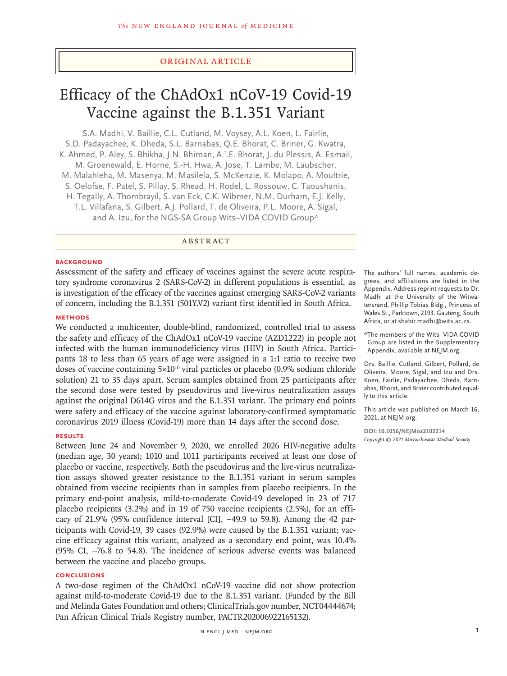# Original Article

# Efficacy of the ChAdOx1 nCoV-19 Covid-19 Vaccine against the B.1.351 Variant

S.A. Madhi, V. Baillie, C.L. Cutland, M. Voysey, A.L. Koen, L. Fairlie, S.D. Padayachee, K. Dheda, S.L. Barnabas, Q.E. Bhorat, C. Briner, G. Kwatra, K. Ahmed, P. Aley, S. Bhikha, J.N. Bhiman, A.'.E. Bhorat, J. du Plessis, A. Esmail, M. Groenewald, E. Horne, S.-H. Hwa, A. Jose, T. Lambe, M. Laubscher, M. Malahleha, M. Masenya, M. Masilela, S. McKenzie, K. Molapo, A. Moultrie, S. Oelofse, F. Patel, S. Pillay, S. Rhead, H. Rodel, L. Rossouw, C. Taoushanis, H. Tegally, A. Thombrayil, S. van Eck, C.K. Wibmer, N.M. Durham, E.J. Kelly, T.L. Villafana, S. Gilbert, A.J. Pollard, T. de Oliveira, P.L. Moore, A. Sigal, and A. Izu, for the NGS-SA Group Wits-VIDA COVID Group\*

# ABSTRACT

#### **BACKGROUND**

Assessment of the safety and efficacy of vaccines against the severe acute respiratory syndrome coronavirus 2 (SARS-CoV-2) in different populations is essential, as is investigation of the efficacy of the vaccines against emerging SARS-CoV-2 variants of concern, including the B.1.351 (501Y.V2) variant first identified in South Africa.

# **METHODS**

We conducted a multicenter, double-blind, randomized, controlled trial to assess the safety and efficacy of the ChAdOx1 nCoV-19 vaccine (AZD1222) in people not infected with the human immunodeficiency virus (HIV) in South Africa. Participants 18 to less than 65 years of age were assigned in a 1:1 ratio to receive two doses of vaccine containing  $5\times10^{10}$  viral particles or placebo (0.9% sodium chloride solution) 21 to 35 days apart. Serum samples obtained from 25 participants after the second dose were tested by pseudovirus and live-virus neutralization assays against the original D614G virus and the B.1.351 variant. The primary end points were safety and efficacy of the vaccine against laboratory-confirmed symptomatic coronavirus 2019 illness (Covid-19) more than 14 days after the second dose.

# **RESULTS**

Between June 24 and November 9, 2020, we enrolled 2026 HIV-negative adults (median age, 30 years); 1010 and 1011 participants received at least one dose of placebo or vaccine, respectively. Both the pseudovirus and the live-virus neutralization assays showed greater resistance to the B.1.351 variant in serum samples obtained from vaccine recipients than in samples from placebo recipients. In the primary end-point analysis, mild-to-moderate Covid-19 developed in 23 of 717 placebo recipients (3.2%) and in 19 of 750 vaccine recipients (2.5%), for an efficacy of 21.9% (95% confidence interval [CI], −49.9 to 59.8). Among the 42 participants with Covid-19, 39 cases (92.9%) were caused by the B.1.351 variant; vaccine efficacy against this variant, analyzed as a secondary end point, was 10.4% (95% CI, −76.8 to 54.8). The incidence of serious adverse events was balanced between the vaccine and placebo groups.

#### **CONCLUSIONS**

A two-dose regimen of the ChAdOx1 nCoV-19 vaccine did not show protection against mild-to-moderate Covid-19 due to the B.1.351 variant. (Funded by the Bill and Melinda Gates Foundation and others; ClinicalTrials.gov number, NCT04444674; Pan African Clinical Trials Registry number, PACTR202006922165132).

The authors' full names, academic degrees, and affiliations are listed in the Appendix. Address reprint requests to Dr. Madhi at the University of the Witwatersrand, Phillip Tobias Bldg., Princess of Wales St., Parktown, 2193, Gauteng, South Africa, or at shabir.madhi@wits.ac.za.

\*The members of the Wits–VIDA COVID Group are listed in the Supplementary Appendix, available at NEJM.org.

Drs. Baillie, Cutland, Gilbert, Pollard, de Oliveira, Moore, Sigal, and Izu and Drs. Koen, Fairlie, Padayachee, Dheda, Barnabas, Bhorat, and Briner contributed equally to this article.

This article was published on March 16, 2021, at NEJM.org.

**DOI: 10.1056/NEJMoa2102214** *Copyright © 2021 Massachusetts Medical Society.*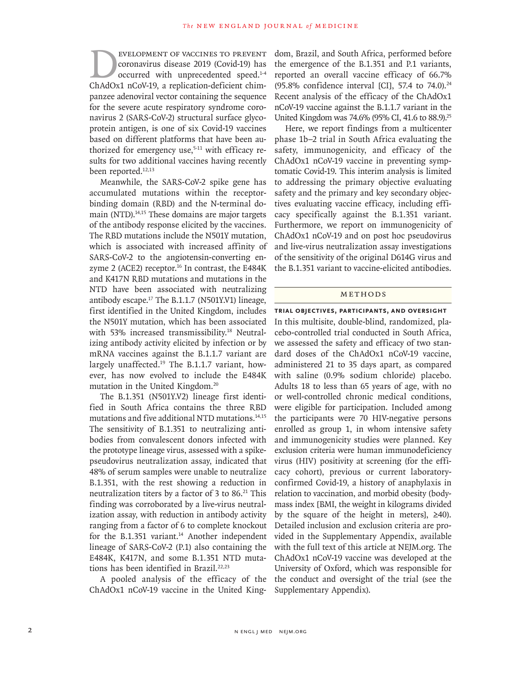EVELOPMENT OF VACCINES TO PREVENT<br>
coronavirus disease 2019 (Covid-19) has<br>
occurred with unprecedented speed.<sup>1-4</sup><br>
ChAdOx1 nCoV-19, a replication-deficient chimcoronavirus disease 2019 (Covid-19) has occurred with unprecedented speed.<sup>1-4</sup> ChAdOx1 nCoV-19, a replication-deficient chimpanzee adenoviral vector containing the sequence for the severe acute respiratory syndrome coronavirus 2 (SARS-CoV-2) structural surface glycoprotein antigen, is one of six Covid-19 vaccines based on different platforms that have been authorized for emergency use, $5-11$  with efficacy results for two additional vaccines having recently been reported.<sup>12,13</sup>

Meanwhile, the SARS-CoV-2 spike gene has accumulated mutations within the receptorbinding domain (RBD) and the N-terminal domain (NTD).<sup>14,15</sup> These domains are major targets of the antibody response elicited by the vaccines. The RBD mutations include the N501Y mutation, which is associated with increased affinity of SARS-CoV-2 to the angiotensin-converting enzyme 2 (ACE2) receptor. $16$  In contrast, the E484K and K417N RBD mutations and mutations in the NTD have been associated with neutralizing antibody escape.17 The B.1.1.7 (N501Y.V1) lineage, first identified in the United Kingdom, includes the N501Y mutation, which has been associated with 53% increased transmissibility.<sup>18</sup> Neutralizing antibody activity elicited by infection or by mRNA vaccines against the B.1.1.7 variant are largely unaffected.<sup>19</sup> The B.1.1.7 variant, however, has now evolved to include the E484K mutation in the United Kingdom.20

The B.1.351 (N501Y.V2) lineage first identified in South Africa contains the three RBD mutations and five additional NTD mutations.<sup>14,15</sup> The sensitivity of B.1.351 to neutralizing antibodies from convalescent donors infected with the prototype lineage virus, assessed with a spikepseudovirus neutralization assay, indicated that 48% of serum samples were unable to neutralize B.1.351, with the rest showing a reduction in neutralization titers by a factor of  $3$  to  $86$ .<sup>21</sup> This finding was corroborated by a live-virus neutralization assay, with reduction in antibody activity ranging from a factor of 6 to complete knockout for the B.1.351 variant. $14$  Another independent lineage of SARS-CoV-2 (P.1) also containing the E484K, K417N, and some B.1.351 NTD mutations has been identified in Brazil.<sup>22,23</sup>

A pooled analysis of the efficacy of the ChAdOx1 nCoV-19 vaccine in the United Kingdom, Brazil, and South Africa, performed before the emergence of the B.1.351 and P.1 variants, reported an overall vaccine efficacy of 66.7% (95.8% confidence interval [CI], 57.4 to  $74.0$ ).<sup>24</sup> Recent analysis of the efficacy of the ChAdOx1 nCoV-19 vaccine against the B.1.1.7 variant in the United Kingdom was 74.6% (95% CI, 41.6 to 88.9).<sup>25</sup>

Here, we report findings from a multicenter phase 1b–2 trial in South Africa evaluating the safety, immunogenicity, and efficacy of the ChAdOx1 nCoV-19 vaccine in preventing symptomatic Covid-19. This interim analysis is limited to addressing the primary objective evaluating safety and the primary and key secondary objectives evaluating vaccine efficacy, including efficacy specifically against the B.1.351 variant. Furthermore, we report on immunogenicity of ChAdOx1 nCoV-19 and on post hoc pseudovirus and live-virus neutralization assay investigations of the sensitivity of the original D614G virus and the B.1.351 variant to vaccine-elicited antibodies.

#### Methods

**Trial Objectives, Participants, and Oversight** In this multisite, double-blind, randomized, placebo-controlled trial conducted in South Africa, we assessed the safety and efficacy of two standard doses of the ChAdOx1 nCoV-19 vaccine, administered 21 to 35 days apart, as compared with saline (0.9% sodium chloride) placebo. Adults 18 to less than 65 years of age, with no or well-controlled chronic medical conditions, were eligible for participation. Included among the participants were 70 HIV-negative persons enrolled as group 1, in whom intensive safety and immunogenicity studies were planned. Key exclusion criteria were human immunodeficiency virus (HIV) positivity at screening (for the efficacy cohort), previous or current laboratoryconfirmed Covid-19, a history of anaphylaxis in relation to vaccination, and morbid obesity (bodymass index [BMI, the weight in kilograms divided by the square of the height in meters],  $\geq 40$ ). Detailed inclusion and exclusion criteria are provided in the Supplementary Appendix, available with the full text of this article at NEJM.org. The ChAdOx1 nCoV-19 vaccine was developed at the University of Oxford, which was responsible for the conduct and oversight of the trial (see the Supplementary Appendix).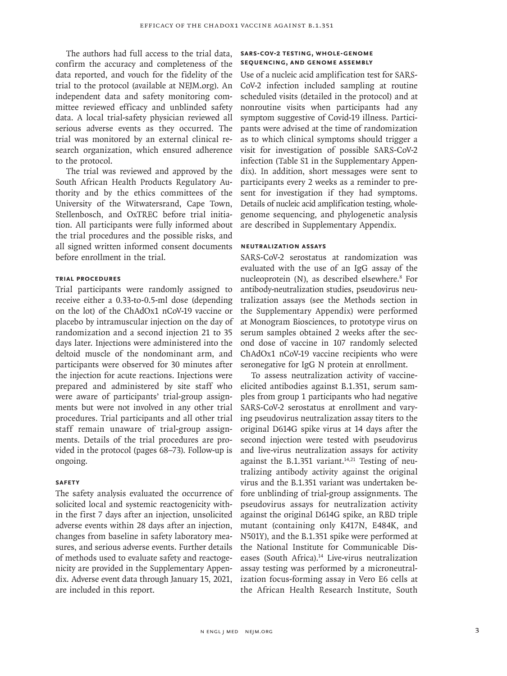The authors had full access to the trial data, confirm the accuracy and completeness of the data reported, and vouch for the fidelity of the trial to the protocol (available at NEJM.org). An independent data and safety monitoring committee reviewed efficacy and unblinded safety data. A local trial-safety physician reviewed all serious adverse events as they occurred. The trial was monitored by an external clinical research organization, which ensured adherence to the protocol.

The trial was reviewed and approved by the South African Health Products Regulatory Authority and by the ethics committees of the University of the Witwatersrand, Cape Town, Stellenbosch, and OxTREC before trial initiation. All participants were fully informed about the trial procedures and the possible risks, and all signed written informed consent documents before enrollment in the trial.

# **Trial Procedures**

Trial participants were randomly assigned to receive either a 0.33-to-0.5-ml dose (depending on the lot) of the ChAdOx1 nCoV-19 vaccine or placebo by intramuscular injection on the day of randomization and a second injection 21 to 35 days later. Injections were administered into the deltoid muscle of the nondominant arm, and participants were observed for 30 minutes after the injection for acute reactions. Injections were prepared and administered by site staff who were aware of participants' trial-group assignments but were not involved in any other trial procedures. Trial participants and all other trial staff remain unaware of trial-group assignments. Details of the trial procedures are provided in the protocol (pages 68–73). Follow-up is ongoing.

## **Safety**

The safety analysis evaluated the occurrence of solicited local and systemic reactogenicity within the first 7 days after an injection, unsolicited adverse events within 28 days after an injection, changes from baseline in safety laboratory measures, and serious adverse events. Further details of methods used to evaluate safety and reactogenicity are provided in the Supplementary Appendix. Adverse event data through January 15, 2021, are included in this report.

# **SARS-CoV-2 Testing, Whole-Genome Sequencing, and Genome Assembly**

Use of a nucleic acid amplification test for SARS-CoV-2 infection included sampling at routine scheduled visits (detailed in the protocol) and at nonroutine visits when participants had any symptom suggestive of Covid-19 illness. Participants were advised at the time of randomization as to which clinical symptoms should trigger a visit for investigation of possible SARS-CoV-2 infection (Table S1 in the Supplementary Appendix). In addition, short messages were sent to participants every 2 weeks as a reminder to present for investigation if they had symptoms. Details of nucleic acid amplification testing, wholegenome sequencing, and phylogenetic analysis are described in Supplementary Appendix.

# **Neutralization Assays**

SARS-CoV-2 serostatus at randomization was evaluated with the use of an IgG assay of the nucleoprotein (N), as described elsewhere.<sup>8</sup> For antibody-neutralization studies, pseudovirus neutralization assays (see the Methods section in the Supplementary Appendix) were performed at Monogram Biosciences, to prototype virus on serum samples obtained 2 weeks after the second dose of vaccine in 107 randomly selected ChAdOx1 nCoV-19 vaccine recipients who were seronegative for IgG N protein at enrollment.

To assess neutralization activity of vaccineelicited antibodies against B.1.351, serum samples from group 1 participants who had negative SARS-CoV-2 serostatus at enrollment and varying pseudovirus neutralization assay titers to the original D614G spike virus at 14 days after the second injection were tested with pseudovirus and live-virus neutralization assays for activity against the B.1.351 variant. $14,21$  Testing of neutralizing antibody activity against the original virus and the B.1.351 variant was undertaken before unblinding of trial-group assignments. The pseudovirus assays for neutralization activity against the original D614G spike, an RBD triple mutant (containing only K417N, E484K, and N501Y), and the B.1.351 spike were performed at the National Institute for Communicable Diseases (South Africa).<sup>14</sup> Live-virus neutralization assay testing was performed by a microneutralization focus-forming assay in Vero E6 cells at the African Health Research Institute, South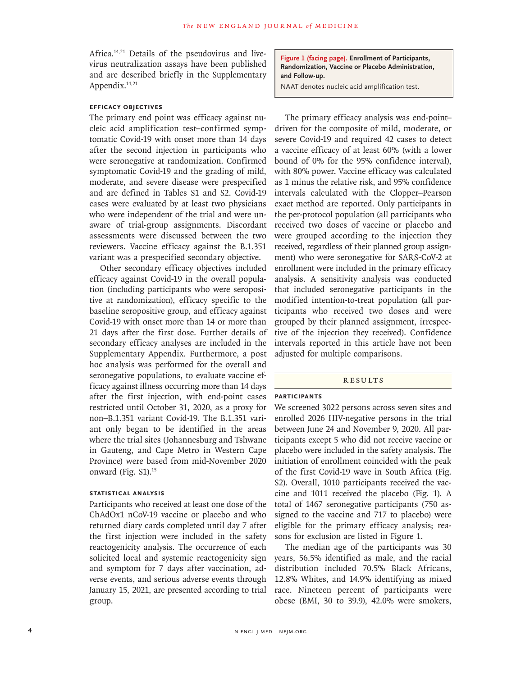Africa.14,21 Details of the pseudovirus and livevirus neutralization assays have been published and are described briefly in the Supplementary Appendix.<sup>14,21</sup>

# **Efficacy Objectives**

The primary end point was efficacy against nucleic acid amplification test–confirmed symptomatic Covid-19 with onset more than 14 days after the second injection in participants who were seronegative at randomization. Confirmed symptomatic Covid-19 and the grading of mild, moderate, and severe disease were prespecified and are defined in Tables S1 and S2. Covid-19 cases were evaluated by at least two physicians who were independent of the trial and were unaware of trial-group assignments. Discordant assessments were discussed between the two reviewers. Vaccine efficacy against the B.1.351 variant was a prespecified secondary objective.

Other secondary efficacy objectives included efficacy against Covid-19 in the overall population (including participants who were seropositive at randomization), efficacy specific to the baseline seropositive group, and efficacy against Covid-19 with onset more than 14 or more than 21 days after the first dose. Further details of secondary efficacy analyses are included in the Supplementary Appendix. Furthermore, a post hoc analysis was performed for the overall and seronegative populations, to evaluate vaccine efficacy against illness occurring more than 14 days after the first injection, with end-point cases restricted until October 31, 2020, as a proxy for non–B.1.351 variant Covid-19. The B.1.351 variant only began to be identified in the areas where the trial sites (Johannesburg and Tshwane in Gauteng, and Cape Metro in Western Cape Province) were based from mid-November 2020 onward (Fig. S1).<sup>15</sup>

# **Statistical Analysis**

Participants who received at least one dose of the ChAdOx1 nCoV-19 vaccine or placebo and who returned diary cards completed until day 7 after the first injection were included in the safety reactogenicity analysis. The occurrence of each solicited local and systemic reactogenicity sign and symptom for 7 days after vaccination, adverse events, and serious adverse events through January 15, 2021, are presented according to trial group.

**Figure 1 (facing page). Enrollment of Participants, Randomization, Vaccine or Placebo Administration, and Follow-up.**

NAAT denotes nucleic acid amplification test.

The primary efficacy analysis was end-point– driven for the composite of mild, moderate, or severe Covid-19 and required 42 cases to detect a vaccine efficacy of at least 60% (with a lower bound of 0% for the 95% confidence interval), with 80% power. Vaccine efficacy was calculated as 1 minus the relative risk, and 95% confidence intervals calculated with the Clopper–Pearson exact method are reported. Only participants in the per-protocol population (all participants who received two doses of vaccine or placebo and were grouped according to the injection they received, regardless of their planned group assignment) who were seronegative for SARS-CoV-2 at enrollment were included in the primary efficacy analysis. A sensitivity analysis was conducted that included seronegative participants in the modified intention-to-treat population (all participants who received two doses and were grouped by their planned assignment, irrespective of the injection they received). Confidence intervals reported in this article have not been adjusted for multiple comparisons.

# **RESULTS**

## **Participants**

We screened 3022 persons across seven sites and enrolled 2026 HIV-negative persons in the trial between June 24 and November 9, 2020. All participants except 5 who did not receive vaccine or placebo were included in the safety analysis. The initiation of enrollment coincided with the peak of the first Covid-19 wave in South Africa (Fig. S2). Overall, 1010 participants received the vaccine and 1011 received the placebo (Fig. 1). A total of 1467 seronegative participants (750 assigned to the vaccine and 717 to placebo) were eligible for the primary efficacy analysis; reasons for exclusion are listed in Figure 1.

The median age of the participants was 30 years, 56.5% identified as male, and the racial distribution included 70.5% Black Africans, 12.8% Whites, and 14.9% identifying as mixed race. Nineteen percent of participants were obese (BMI, 30 to 39.9), 42.0% were smokers,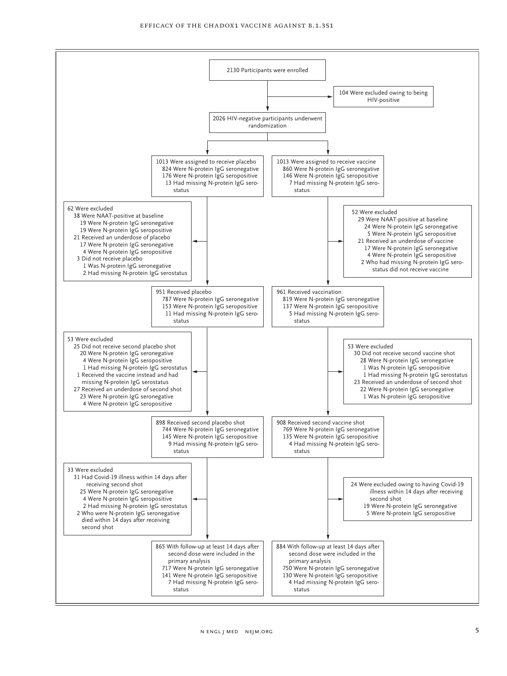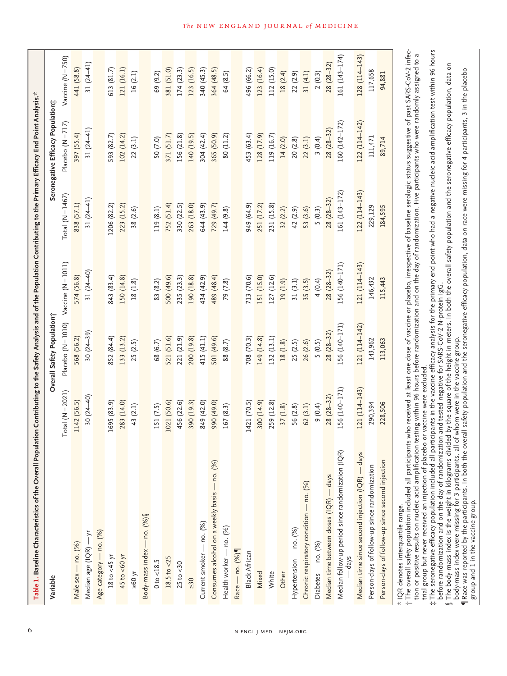| Table 1. Baseline Characteristics of the Overall Population Contributing to the Safety Analysis and of the Population Contributing to the Primary Efficacy End Point Analysis.* |                    |                            |                     |                      |                                   |                    |
|---------------------------------------------------------------------------------------------------------------------------------------------------------------------------------|--------------------|----------------------------|---------------------|----------------------|-----------------------------------|--------------------|
| Variable                                                                                                                                                                        |                    | Overall Safety Population; |                     |                      | Seronegative Efficacy Population; |                    |
|                                                                                                                                                                                 | $Total (N = 2021)$ | Placebo $(N = 1010)$       | $Vacine (N = 1011)$ | Total ( $N = 1467$ ) | Placebo (N = 717)                 | $Vacine (N = 750)$ |
| Male sex - no. (%)                                                                                                                                                              | 1142 (56.5)        | 568 (56.2)                 | 574 (56.8)          | 838 (57.1)           | 397 (55.4)                        | 441 (58.8)         |
| Median age (IQR) - yr                                                                                                                                                           | $30(24-40)$        | $30(24-39)$                | 31 $(24-40)$        | $31(24-41)$          | $31(24-41)$                       | 31 $(24-41)$       |
| Age category - no. (%)                                                                                                                                                          |                    |                            |                     |                      |                                   |                    |
| 18 to $<45$ yr                                                                                                                                                                  | 1695 (83.9)        | 852 (84.4)                 | 843 (83.4)          | 1206 (82.2)          | 593 (82.7)                        | 613 (81.7)         |
| 45 to $<$ 60 yr                                                                                                                                                                 | 283 (14.0)         | 133 (13.2)                 | 150 (14.8)          | 223 (15.2)           | 102 (14.2)                        | 121 (16.1)         |
| $y_0 \geq 60$                                                                                                                                                                   | 43 (2.1)           | 25 (2.5)                   | 18(1.8)             | 38(2.6)              | 22(3.1)                           | 16(2.1)            |
| Body-mass index - no. (%)                                                                                                                                                       |                    |                            |                     |                      |                                   |                    |
| 0 to < 18.5                                                                                                                                                                     | 151 (7.5)          | 68 (6.7)                   | 83 (8.2)            | 119 (8.1)            | 50 (7.0)                          | 69 (9.2)           |
| $18.5$ to $<25$                                                                                                                                                                 | 1021 (50.6)        | 521 (51.6)                 | 500 (49.6)          | 752 (51.4)           | 371 (51.7)                        | 381 (51.0)         |
| $25$ to $<30$                                                                                                                                                                   | 456 (22.6)         | 221 (21.9)                 | 235 (23.3)          | 330 (22.5)           | 156 (21.8)                        | 174(23.3)          |
| $\geq 30$                                                                                                                                                                       | 390 (19.3)         | 200 (19.8)                 | 190 (18.8)          | 263 (18.0)           | 140 (19.5)                        | 123 (16.5)         |
| Current smoker - no. (%)                                                                                                                                                        | 849 (42.0)         | 415 (41.1)                 | 434 (42.9)          | 644 (43.9)           | 304 (42.4)                        | 340 (45.3)         |
| Consumes alcohol on a weekly basis - no. (%)                                                                                                                                    | (0.67) 066         | 501 (49.6)                 | 489 (48.4)          | 729 (49.7)           | 365 (50.9)                        | 364 (48.5)         |
| Health worker - no. (%)                                                                                                                                                         | 167 (8.3)          | 88 (8.7)                   | 79 (7.8)            | 144 (9.8)            | 80 (11.2)                         | 64 (8.5)           |
| Race - no. (%)                                                                                                                                                                  |                    |                            |                     |                      |                                   |                    |
| <b>Black African</b>                                                                                                                                                            | 1421 (70.5)        | 708 (70.3)                 | 713 (70.6)          | 949 (64.9)           | 453 (63.4)                        | 496 (66.2)         |
| Mixed                                                                                                                                                                           | 300 (14.9)         | 149 (14.8)                 | 151 (15.0)          | 251 (17.2)           | 128 (17.9)                        | 123 (16.4)         |
| White                                                                                                                                                                           | 259 (12.8)         | 132 (13.1)                 | 127 (12.6)          | 231 (15.8)           | 119 (16.7)                        | 112 (15.0)         |
| Other                                                                                                                                                                           | 37(1.8)            | 18(1.8)                    | 19 (1.9)            | 32(2.2)              | 14(2.0)                           | 18 (2.4)           |
| Hypertension - no. (%)                                                                                                                                                          | 56 (2.8)           | 25 (2.5)                   | 31(3.1)             | 42 (2.9)             | 20(2.8)                           | 22 (2.9)           |
| Chronic respiratory condition - no. (%)                                                                                                                                         | 62(3.1)            | 26 (2.6)                   | 35(3.5)             | 53 (3.6)             | 22(3.1)                           | 31(4.1)            |
| Diabetes - no. (%)                                                                                                                                                              | 9(0.4)             | 5(0.5)                     | 4(0.4)              | 5(0.3)               | 3(0.4)                            | 2(0.3)             |
| Median time between doses (IQR) - days                                                                                                                                          | $28(28-32)$        | $28(28-32)$                | $28(28-32)$         | $28(28-32)$          | 28 (28-32)                        | $28(28-32)$        |
| Median follow-up period since randomization (IQR)<br>- days                                                                                                                     | 156 (140-171)      | 156 (140-171)              | 156 (140-171)       | 161 (143-172)        | 160 (142-172)                     | 161 (143-174)      |
| Median time since second injection (IQR) - days                                                                                                                                 | 121 (114-143)      | 121 (114-142)              | 121 (114-143)       | $122(114-143)$       | 122 (114-142)                     | $128(114-143)$     |
| Person-days of follow-up since randomization                                                                                                                                    | 290,394            | 143,962                    | 146,432             | 229,129              | 111,471                           | 117,658            |
| Person-days of follow-up since second injection                                                                                                                                 | 228,506            | 113,063                    | 115,443             | 184,595              | 89,714                            | 94,881             |
| x IOP denotes interaustile range                                                                                                                                                |                    |                            |                     |                      |                                   |                    |

 $*$  IQR denotes interquartile range.

IQK denotes Interquartile range.<br>The overall safety population included all participants who received at least one dose of vaccine or placebo, irrespective of baseline serologic status suggestive of past SARS-CoV-2 infec- The overall safety population included all participants who received at least one dose of vaccine or placebo, irrespective of baseline serologic status suggestive of past SARS-CoV-2 infection or positive results on nucleic acid amplification testing within 96 hours before randomization and on the day of randomization. Five participants who were randomly assigned to a tion or positive results on nucleic acid amplification testing within 96 hours before randomization and on the day of randomization. Five participants who were randomly assigned to a trial group but never received an injection of placebo or vaccine were excluded. trial group but never received an injection of placebo or vaccine were excluded. †

The seronegative efficacy population included all participants in the vaccine efficacy analysis for the primary end point who had a negative nucleic acid amplification test within 96 hours  $\ddot{x}$  The seronegative efficacy population included all participants in the vaccine efficacy analysis for the primary end point who had a negative nucleic acid amplification test within 96 hours ‡

before randomization and on the day of randomization and tested negative for SARS-CoV-2 N-protein IgG. before randomization and on the day of randomization and tested negative for SARS-CoV-2 N-protein IgG.

The body-mass index is the weight in kilograms divided by the square of the height in meters. In both the overall safety population and the seronegative efficacy population, data on<br>body-mass index were missing for 3 parti  $\S$  The body-mass index is the weight in kilograms divided by the square of the height in meters. In both the overall safety population and the seronegative efficacy population, data on body-mass index were missing for 3 participants, all of whom were in the vaccine group. §

Race was reported by the participants. In both the overall safety population and the seronegative efficacy population, data on race were missing for 4 participants, 3 in the placebo ¶Race was reported by the participants. In both the overall safety population and the seronegative efficacy population, data on race were missing for 4 participants, 3 in the placebo

group and 1 in the vaccine group. group and 1 in the vaccine group.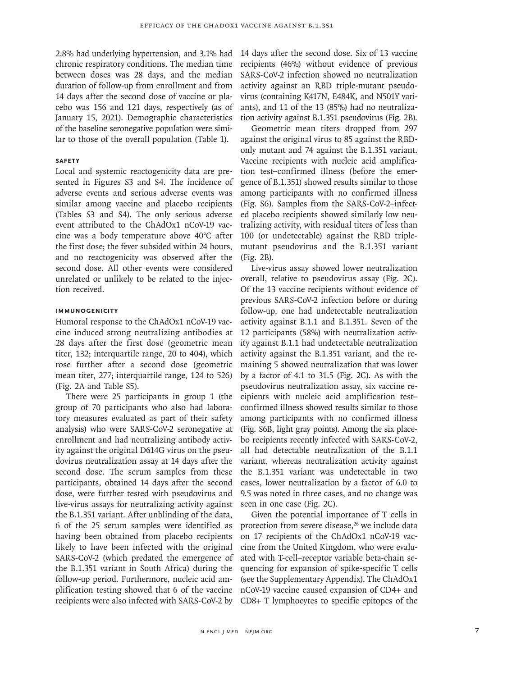2.8% had underlying hypertension, and 3.1% had chronic respiratory conditions. The median time between doses was 28 days, and the median duration of follow-up from enrollment and from 14 days after the second dose of vaccine or placebo was 156 and 121 days, respectively (as of January 15, 2021). Demographic characteristics of the baseline seronegative population were similar to those of the overall population (Table 1).

# **Safety**

Local and systemic reactogenicity data are presented in Figures S3 and S4. The incidence of adverse events and serious adverse events was similar among vaccine and placebo recipients (Tables S3 and S4). The only serious adverse event attributed to the ChAdOx1 nCoV-19 vaccine was a body temperature above 40°C after the first dose; the fever subsided within 24 hours, and no reactogenicity was observed after the second dose. All other events were considered unrelated or unlikely to be related to the injection received.

## **Immunogenicity**

Humoral response to the ChAdOx1 nCoV-19 vaccine induced strong neutralizing antibodies at 28 days after the first dose (geometric mean titer, 132; interquartile range, 20 to 404), which rose further after a second dose (geometric mean titer, 277; interquartile range, 124 to 526) (Fig. 2A and Table S5).

There were 25 participants in group 1 (the group of 70 participants who also had laboratory measures evaluated as part of their safety analysis) who were SARS-CoV-2 seronegative at enrollment and had neutralizing antibody activity against the original D614G virus on the pseudovirus neutralization assay at 14 days after the second dose. The serum samples from these participants, obtained 14 days after the second dose, were further tested with pseudovirus and live-virus assays for neutralizing activity against the B.1.351 variant. After unblinding of the data, 6 of the 25 serum samples were identified as having been obtained from placebo recipients likely to have been infected with the original SARS-CoV-2 (which predated the emergence of the B.1.351 variant in South Africa) during the follow-up period. Furthermore, nucleic acid amplification testing showed that 6 of the vaccine recipients were also infected with SARS-CoV-2 by 14 days after the second dose. Six of 13 vaccine recipients (46%) without evidence of previous SARS-CoV-2 infection showed no neutralization activity against an RBD triple-mutant pseudovirus (containing K417N, E484K, and N501Y variants), and 11 of the 13 (85%) had no neutralization activity against B.1.351 pseudovirus (Fig. 2B).

Geometric mean titers dropped from 297 against the original virus to 85 against the RBDonly mutant and 74 against the B.1.351 variant. Vaccine recipients with nucleic acid amplification test–confirmed illness (before the emergence of B.1.351) showed results similar to those among participants with no confirmed illness (Fig. S6). Samples from the SARS-CoV-2–infected placebo recipients showed similarly low neutralizing activity, with residual titers of less than 100 (or undetectable) against the RBD triplemutant pseudovirus and the B.1.351 variant (Fig. 2B).

Live-virus assay showed lower neutralization overall, relative to pseudovirus assay (Fig. 2C). Of the 13 vaccine recipients without evidence of previous SARS-CoV-2 infection before or during follow-up, one had undetectable neutralization activity against B.1.1 and B.1.351. Seven of the 12 participants (58%) with neutralization activity against B.1.1 had undetectable neutralization activity against the B.1.351 variant, and the remaining 5 showed neutralization that was lower by a factor of 4.1 to 31.5 (Fig. 2C). As with the pseudovirus neutralization assay, six vaccine recipients with nucleic acid amplification test– confirmed illness showed results similar to those among participants with no confirmed illness (Fig. S6B, light gray points). Among the six placebo recipients recently infected with SARS-CoV-2, all had detectable neutralization of the B.1.1 variant, whereas neutralization activity against the B.1.351 variant was undetectable in two cases, lower neutralization by a factor of 6.0 to 9.5 was noted in three cases, and no change was seen in one case (Fig. 2C).

Given the potential importance of T cells in protection from severe disease,<sup>26</sup> we include data on 17 recipients of the ChAdOx1 nCoV-19 vaccine from the United Kingdom, who were evaluated with T-cell–receptor variable beta-chain sequencing for expansion of spike-specific T cells (see the Supplementary Appendix). The ChAdOx1 nCoV-19 vaccine caused expansion of CD4+ and CD8+ T lymphocytes to specific epitopes of the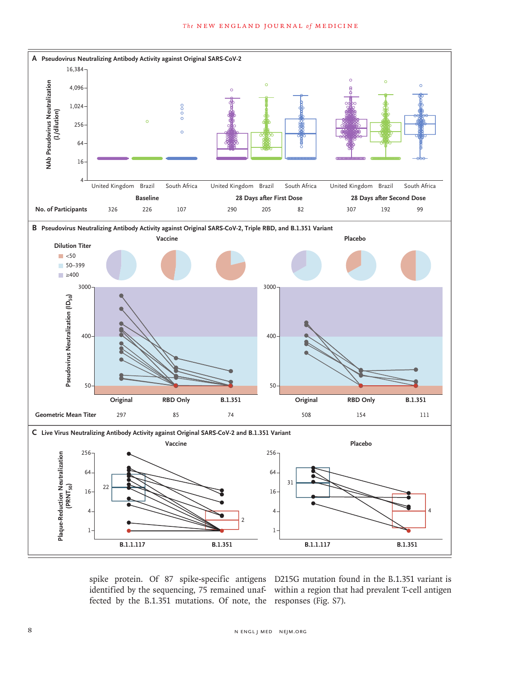

fected by the B.1.351 mutations. Of note, the responses (Fig. S7).

spike protein. Of 87 spike-specific antigens D215G mutation found in the B.1.351 variant is identified by the sequencing, 75 remained unaf-within a region that had prevalent T-cell antigen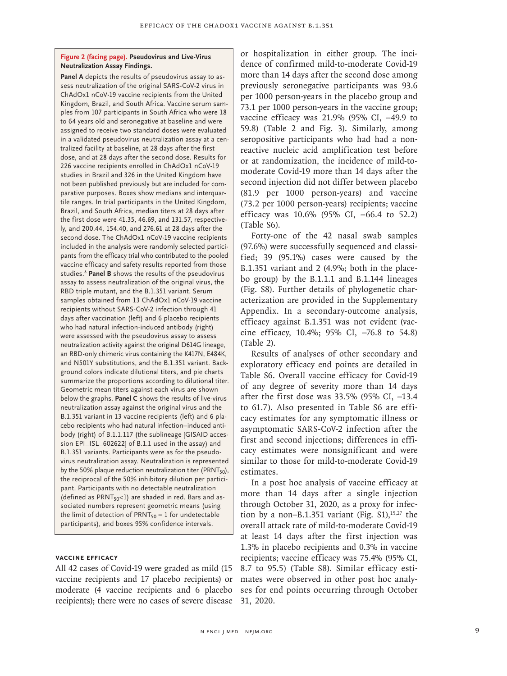#### **Figure 2 (facing page). Pseudovirus and Live-Virus Neutralization Assay Findings.**

**Panel A** depicts the results of pseudovirus assay to assess neutralization of the original SARS-CoV-2 virus in ChAdOx1 nCoV-19 vaccine recipients from the United Kingdom, Brazil, and South Africa. Vaccine serum samples from 107 participants in South Africa who were 18 to 64 years old and seronegative at baseline and were assigned to receive two standard doses were evaluated in a validated pseudovirus neutralization assay at a centralized facility at baseline, at 28 days after the first dose, and at 28 days after the second dose. Results for 226 vaccine recipients enrolled in ChAdOx1 nCoV-19 studies in Brazil and 326 in the United Kingdom have not been published previously but are included for comparative purposes. Boxes show medians and interquartile ranges. In trial participants in the United Kingdom, Brazil, and South Africa, median titers at 28 days after the first dose were 41.35, 46.69, and 131.57, respectively, and 200.44, 154.40, and 276.61 at 28 days after the second dose. The ChAdOx1 nCoV-19 vaccine recipients included in the analysis were randomly selected participants from the efficacy trial who contributed to the pooled vaccine efficacy and safety results reported from those studies.8 **Panel B** shows the results of the pseudovirus assay to assess neutralization of the original virus, the RBD triple mutant, and the B.1.351 variant. Serum samples obtained from 13 ChAdOx1 nCoV-19 vaccine recipients without SARS-CoV-2 infection through 41 days after vaccination (left) and 6 placebo recipients who had natural infection-induced antibody (right) were assessed with the pseudovirus assay to assess neutralization activity against the original D614G lineage, an RBD-only chimeric virus containing the K417N, E484K, and N501Y substitutions, and the B.1.351 variant. Background colors indicate dilutional titers, and pie charts summarize the proportions according to dilutional titer. Geometric mean titers against each virus are shown below the graphs. **Panel C** shows the results of live-virus neutralization assay against the original virus and the B.1.351 variant in 13 vaccine recipients (left) and 6 placebo recipients who had natural infection–induced antibody (right) of B.1.1.117 (the sublineage [GISAID accession EPI\_ISL\_602622] of B.1.1 used in the assay) and B.1.351 variants. Participants were as for the pseudovirus neutralization assay. Neutralization is represented by the 50% plaque reduction neutralization titer (PRNT $_{50}$ ), the reciprocal of the 50% inhibitory dilution per participant. Participants with no detectable neutralization (defined as  $PRNT<sub>50</sub><1$ ) are shaded in red. Bars and associated numbers represent geometric means (using the limit of detection of PRNT $_{50}$  = 1 for undetectable participants), and boxes 95% confidence intervals.

# **Vaccine Efficacy**

All 42 cases of Covid-19 were graded as mild (15 vaccine recipients and 17 placebo recipients) or moderate (4 vaccine recipients and 6 placebo recipients); there were no cases of severe disease 31, 2020.

or hospitalization in either group. The incidence of confirmed mild-to-moderate Covid-19 more than 14 days after the second dose among previously seronegative participants was 93.6 per 1000 person-years in the placebo group and 73.1 per 1000 person-years in the vaccine group; vaccine efficacy was 21.9% (95% CI, −49.9 to 59.8) (Table 2 and Fig. 3). Similarly, among seropositive participants who had had a nonreactive nucleic acid amplification test before or at randomization, the incidence of mild-tomoderate Covid-19 more than 14 days after the second injection did not differ between placebo (81.9 per 1000 person-years) and vaccine (73.2 per 1000 person-years) recipients; vaccine efficacy was 10.6% (95% CI, −66.4 to 52.2) (Table S6).

Forty-one of the 42 nasal swab samples (97.6%) were successfully sequenced and classified; 39 (95.1%) cases were caused by the B.1.351 variant and 2 (4.9%; both in the placebo group) by the B.1.1.1 and B.1.144 lineages (Fig. S8). Further details of phylogenetic characterization are provided in the Supplementary Appendix. In a secondary-outcome analysis, efficacy against B.1.351 was not evident (vaccine efficacy, 10.4%; 95% CI, −76.8 to 54.8) (Table 2).

Results of analyses of other secondary and exploratory efficacy end points are detailed in Table S6. Overall vaccine efficacy for Covid-19 of any degree of severity more than 14 days after the first dose was 33.5% (95% CI, −13.4 to 61.7). Also presented in Table S6 are efficacy estimates for any symptomatic illness or asymptomatic SARS-CoV-2 infection after the first and second injections; differences in efficacy estimates were nonsignificant and were similar to those for mild-to-moderate Covid-19 estimates.

In a post hoc analysis of vaccine efficacy at more than 14 days after a single injection through October 31, 2020, as a proxy for infection by a non–B.1.351 variant (Fig.  $S1$ ),<sup>15,27</sup> the overall attack rate of mild-to-moderate Covid-19 at least 14 days after the first injection was 1.3% in placebo recipients and 0.3% in vaccine recipients; vaccine efficacy was 75.4% (95% CI, 8.7 to 95.5) (Table S8). Similar efficacy estimates were observed in other post hoc analyses for end points occurring through October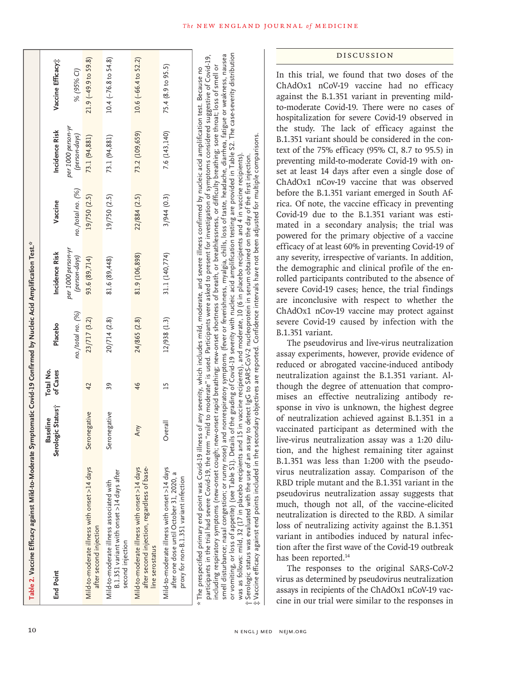| Table 2. Vaccine Efficacy against Mild-to-Moderate Symptomatic Covid-19 Confirmed by Nucleic Acid Amplification Test.*                                                                                                                                                                                                                                                                                                                                                                                                                                                                                                                                                                                                                                              |                                      |                       |                   |                                     |                   |                                     |                           |
|---------------------------------------------------------------------------------------------------------------------------------------------------------------------------------------------------------------------------------------------------------------------------------------------------------------------------------------------------------------------------------------------------------------------------------------------------------------------------------------------------------------------------------------------------------------------------------------------------------------------------------------------------------------------------------------------------------------------------------------------------------------------|--------------------------------------|-----------------------|-------------------|-------------------------------------|-------------------|-------------------------------------|---------------------------|
| End Point                                                                                                                                                                                                                                                                                                                                                                                                                                                                                                                                                                                                                                                                                                                                                           | Serologic Status;<br><b>Baseline</b> | Total No.<br>of Cases | Placebo           | Incidence Risk                      | Vaccine           | Incidence Risk                      | Vaccine Efficacy;         |
|                                                                                                                                                                                                                                                                                                                                                                                                                                                                                                                                                                                                                                                                                                                                                                     |                                      |                       | no./total no. (%) | per 1000 person-yr<br>(person-days) | no./total no. (%) | per 1000 person-yr<br>(person-days) | % (95% CI)                |
| Mild-to-moderate illness with onset >14 days<br>after second injection                                                                                                                                                                                                                                                                                                                                                                                                                                                                                                                                                                                                                                                                                              | Seronegative                         | 42                    | 23/717(3.2)       | 93.6 (89,714)                       | 19/750 (2.5)      | 73.1 (94,881)                       | $21.9(-49.9 to 59.8)$     |
| B.1.351 variant with onset >14 days after<br>Mild-to-moderate illness associated with<br>second injection                                                                                                                                                                                                                                                                                                                                                                                                                                                                                                                                                                                                                                                           | Seronegative                         | 39                    | 20/714 (2.8)      | 81.6 (89,448)                       | 19/750 (2.5)      | 73.1 (94,881)                       | $10.4$ ( $-76.8$ to 54.8) |
| Mild-to-moderate illness with onset >14 days<br>after second injection, regardless of base-<br>line serostatus                                                                                                                                                                                                                                                                                                                                                                                                                                                                                                                                                                                                                                                      | Any                                  | 46                    | 24/865 (2.8)      | 81.9 (106,898)                      | 22/884 (2.5)      | 73.2 (109,659)                      | 10.6 (-66.4 to 52.2)      |
| Mild-to-moderate illness with onset >14 days<br>after one dose until October 31, 2020, a<br>proxy for non-B.1.351 variant infection                                                                                                                                                                                                                                                                                                                                                                                                                                                                                                                                                                                                                                 | Overall                              | $\overline{15}$       | 12/938 (1.3)      | 31.1 (140,774)                      | 3/944(0.3)        | 7.6 (143, 140)                      | 75.4 (8.9 to 95.5)        |
| smell disturbance; nasal congestion; or runny nose) and nonrespiratory symptoms (fever or feverishness, myalgia, chills, loss of taste, headache, diarrhea, fatigue or weakness, nausea<br>participants in the trial had severe Covid-19, the term "mild to moderate" is used. Participants were asked to present for investigation of symptoms considered suggestive of Covid-19,<br>including respiratory symptoms (new-onset cough; new-onset rapid breathing; new-onset shortness of breath, or breathlessness, or difficulty breathing; sore throat; loss of smell or<br>* The prespecified primary end point was Covid-19 illness of any severity, which includes mild, moderate, and severe illness confirmed by nucleic acid amplification test. Because no |                                      |                       |                   |                                     |                   |                                     |                           |

10 N ENGL J MED NEJM.ORG

†‡

Serologic status was evaluated with the use of an assay

was as follows: mild,

smell disturbance; nasal congestion; or runny nose) and nonrespiratory symptoms (fever or feverishness, myalgia, chills, loss of taste, headache, diarrhea, fatigue or weakness, nausea or vomiting, or loss of appetite) (see Table S1). Details of the grading of Covid-19 severity with nucleic acid amplification testing are provided in Table S2. The case-severity distribution

was as follows: mild, 32 (17 in placebo recipients and 15 in vaccine recipients), and moderate, 10 (6 in placebo recipients and 4 in vaccine recipients).

32 (17 in placebo recipients and 15 in vaccine recipients), and moderate, 10

or vorniting, or loss of appetite) (see Table S1). Details of the grading of Covid-19 severity with nucleic acid amplification testing are provided in Table S2.

 Serologic status was evaluated with the use of an assay to detect IgG to SARS-CoV-2 nucleoprotein in serum obtained on the day of the first injection. Vaccine efficacy against end points included in the secondary objectives are reported. Confidence intervals have not been adjusted for multiple comparisons.

to detect IgG to SARS-CoV-2 nucleoprotein in serum obtained on the day of the first injection.

(6 in placebo recipients and 4 in vaccine recipients) adjusted

The case-severity distribution

for multiple comparisons.

#### Discussion

In this trial, we found that two doses of the ChAdOx1 nCoV-19 vaccine had no efficacy against the B.1.351 variant in preventing mildto-moderate Covid-19. There were no cases of hospitalization for severe Covid-19 observed in the study. The lack of efficacy against the B.1.351 variant should be considered in the context of the 75% efficacy (95% CI, 8.7 to 95.5) in preventing mild-to-moderate Covid-19 with onset at least 14 days after even a single dose of ChAdOx1 nCov-19 vaccine that was observed before the B.1.351 variant emerged in South Africa. Of note, the vaccine efficacy in preventing Covid-19 due to the B.1.351 variant was estimated in a secondary analysis; the trial was powered for the primary objective of a vaccine efficacy of at least 60% in preventing Covid-19 of any severity, irrespective of variants. In addition, the demographic and clinical profile of the enrolled participants contributed to the absence of severe Covid-19 cases; hence, the trial findings are inconclusive with respect to whether the ChAdOx1 nCov-19 vaccine may protect against severe Covid-19 caused by infection with the B.1.351 variant.

The pseudovirus and live-virus neutralization assay experiments, however, provide evidence of reduced or abrogated vaccine-induced antibody neutralization against the B.1.351 variant. Although the degree of attenuation that compromises an effective neutralizing antibody response in vivo is unknown, the highest degree of neutralization achieved against B.1.351 in a vaccinated participant as determined with the live-virus neutralization assay was a 1:20 dilution, and the highest remaining titer against B.1.351 was less than 1:200 with the pseudovirus neutralization assay. Comparison of the RBD triple mutant and the B.1.351 variant in the pseudovirus neutralization assay suggests that much, though not all, of the vaccine-elicited neutralization is directed to the RBD. A similar loss of neutralizing activity against the B.1.351 variant in antibodies induced by natural infection after the first wave of the Covid-19 outbreak has been reported.<sup>14</sup>

The responses to the original SARS-CoV-2 virus as determined by pseudovirus neutralization assays in recipients of the ChAdOx1 nCoV-19 vaccine in our trial were similar to the responses in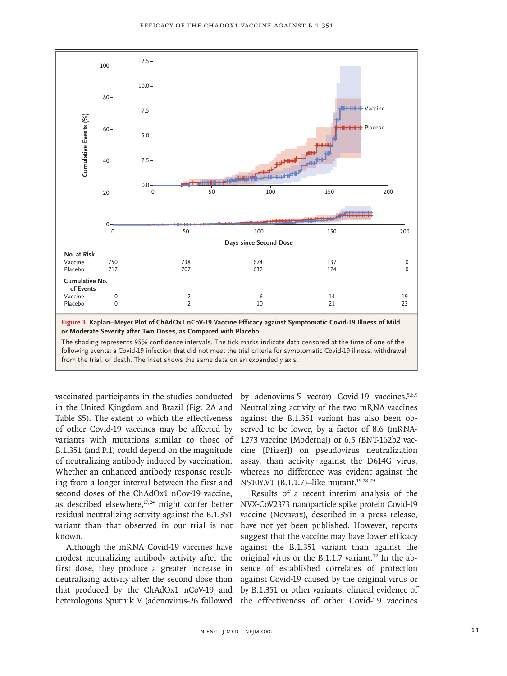

vaccinated participants in the studies conducted in the United Kingdom and Brazil (Fig. 2A and Table S5). The extent to which the effectiveness of other Covid-19 vaccines may be affected by variants with mutations similar to those of B.1.351 (and P.1) could depend on the magnitude of neutralizing antibody induced by vaccination. Whether an enhanced antibody response resulting from a longer interval between the first and second doses of the ChAdOx1 nCov-19 vaccine, as described elsewhere,<sup>17,24</sup> might confer better residual neutralizing activity against the B.1.351 variant than that observed in our trial is not known.

Although the mRNA Covid-19 vaccines have modest neutralizing antibody activity after the first dose, they produce a greater increase in neutralizing activity after the second dose than that produced by the ChAdOx1 nCoV-19 and heterologous Sputnik V (adenovirus-26 followed

by adenovirus-5 vector) Covid-19 vaccines.<sup>5,6,9</sup> Neutralizing activity of the two mRNA vaccines against the B.1.351 variant has also been observed to be lower, by a factor of 8.6 (mRNA-1273 vaccine [Moderna]) or 6.5 (BNT-162b2 vaccine [Pfizer]) on pseudovirus neutralization assay, than activity against the D614G virus, whereas no difference was evident against the N510Y.V1 (B.1.1.7)–like mutant.<sup>19,28,29</sup>

Results of a recent interim analysis of the NVX-CoV2373 nanoparticle spike protein Covid-19 vaccine (Novavax), described in a press release, have not yet been published. However, reports suggest that the vaccine may have lower efficacy against the B.1.351 variant than against the original virus or the B.1.1.7 variant.<sup>12</sup> In the absence of established correlates of protection against Covid-19 caused by the original virus or by B.1.351 or other variants, clinical evidence of the effectiveness of other Covid-19 vaccines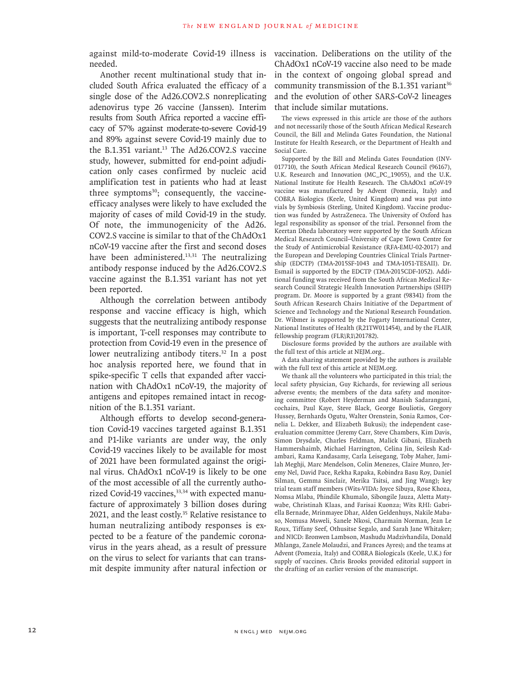against mild-to-moderate Covid-19 illness is vaccination. Deliberations on the utility of the needed.

Another recent multinational study that included South Africa evaluated the efficacy of a single dose of the Ad26.COV2.S nonreplicating adenovirus type 26 vaccine (Janssen). Interim results from South Africa reported a vaccine efficacy of 57% against moderate-to-severe Covid-19 and 89% against severe Covid-19 mainly due to the B.1.351 variant.<sup>13</sup> The Ad26.COV2.S vaccine study, however, submitted for end-point adjudication only cases confirmed by nucleic acid amplification test in patients who had at least three symptoms<sup>30</sup>; consequently, the vaccineefficacy analyses were likely to have excluded the majority of cases of mild Covid-19 in the study. Of note, the immunogenicity of the Ad26. COV2.S vaccine is similar to that of the ChAdOx1 nCoV-19 vaccine after the first and second doses have been administered.<sup>13,31</sup> The neutralizing antibody response induced by the Ad26.COV2.S vaccine against the B.1.351 variant has not yet been reported.

Although the correlation between antibody response and vaccine efficacy is high, which suggests that the neutralizing antibody response is important, T-cell responses may contribute to protection from Covid-19 even in the presence of lower neutralizing antibody titers.<sup>32</sup> In a post hoc analysis reported here, we found that in spike-specific T cells that expanded after vaccination with ChAdOx1 nCoV-19, the majority of antigens and epitopes remained intact in recognition of the B.1.351 variant.

Although efforts to develop second-generation Covid-19 vaccines targeted against B.1.351 and P1-like variants are under way, the only Covid-19 vaccines likely to be available for most of 2021 have been formulated against the original virus. ChAdOx1 nCoV-19 is likely to be one of the most accessible of all the currently authorized Covid-19 vaccines,<sup>33,34</sup> with expected manufacture of approximately 3 billion doses during 2021, and the least costly.<sup>35</sup> Relative resistance to human neutralizing antibody responses is expected to be a feature of the pandemic coronavirus in the years ahead, as a result of pressure on the virus to select for variants that can transmit despite immunity after natural infection or ChAdOx1 nCoV-19 vaccine also need to be made in the context of ongoing global spread and community transmission of the B.1.351 variant $36$ and the evolution of other SARS-CoV-2 lineages that include similar mutations.

The views expressed in this article are those of the authors and not necessarily those of the South African Medical Research Council, the Bill and Melinda Gates Foundation, the National Institute for Health Research, or the Department of Health and Social Care.

Supported by the Bill and Melinda Gates Foundation (INV-017710), the South African Medical Research Council (96167), U.K. Research and Innovation (MC\_PC\_19055), and the U.K. National Institute for Health Research. The ChAdOx1 nCoV-19 vaccine was manufactured by Advent (Pomezia, Italy) and COBRA Biologics (Keele, United Kingdom) and was put into vials by Symbiosis (Sterling, United Kingdom). Vaccine production was funded by AstraZeneca. The University of Oxford has legal responsibility as sponsor of the trial. Personnel from the Keertan Dheda laboratory were supported by the South African Medical Research Council–University of Cape Town Centre for the Study of Antimicrobial Resistance (RFA-EMU-02-2017) and the European and Developing Countries Clinical Trials Partnership (EDCTP) (TMA-2015SF-1043 and TMA-1051-TESAII). Dr. Esmail is supported by the EDCTP (TMA-2015CDF-1052). Additional funding was received from the South African Medical Research Council Strategic Health Innovation Partnerships (SHIP) program. Dr. Moore is supported by a grant (98341) from the South African Research Chairs Initiative of the Department of Science and Technology and the National Research Foundation. Dr. Wibmer is supported by the Fogarty International Center, National Institutes of Health (R21TW011454), and by the FLAIR fellowship program (FLR\R1\201782).

Disclosure forms provided by the authors are available with the full text of this article at NEJM.org..

A data sharing statement provided by the authors is available with the full text of this article at NEJM.org.

We thank all the volunteers who participated in this trial; the local safety physician, Guy Richards, for reviewing all serious adverse events; the members of the data safety and monitoring committee (Robert Heyderman and Manish Sadarangani, cochairs, Paul Kaye, Steve Black, George Bouliotis, Gregory Hussey, Bernhards Ogutu, Walter Orenstein, Sonia Ramos, Cornelia L. Dekker, and Elizabeth Bukusi); the independent caseevaluation committee (Jeremy Carr, Steve Chambers, Kim Davis, Simon Drysdale, Charles Feldman, Malick Gibani, Elizabeth Hammershaimb, Michael Harrington, Celina Jin, Seilesh Kadambari, Rama Kandasamy, Carla Leisegang, Toby Maher, Jamilah Meghji, Marc Mendelson, Colin Menezes, Claire Munro, Jeremy Nel, David Pace, Rekha Rapaka, Robindra Basu Roy, Daniel Silman, Gemma Sinclair, Merika Tsitsi, and Jing Wang); key trial team staff members (Wits-VIDA: Joyce Sibuya, Rose Khoza, Nomsa Mlaba, Phindile Khumalo, Sibongile Jauza, Aletta Matywabe, Christinah Klaas, and Farisai Kuonza; Wits RHI: Gabriella Bernade, Mrinmayee Dhar, Alden Geldenhuys, Nakile Mabaso, Nomusa Msweli, Sanele Nkosi, Charmain Norman, Jean Le Roux, Tiffany Seef, Othusitse Segalo, and Sarah Jane Whitaker; and NICD: Bronwen Lambson, Mashudu Madzivhandila, Donald Mhlanga, Zanele Molaudzi, and Frances Ayres); and the teams at Advent (Pomezia, Italy) and COBRA Biologicals (Keele, U.K.) for supply of vaccines. Chris Brooks provided editorial support in the drafting of an earlier version of the manuscript.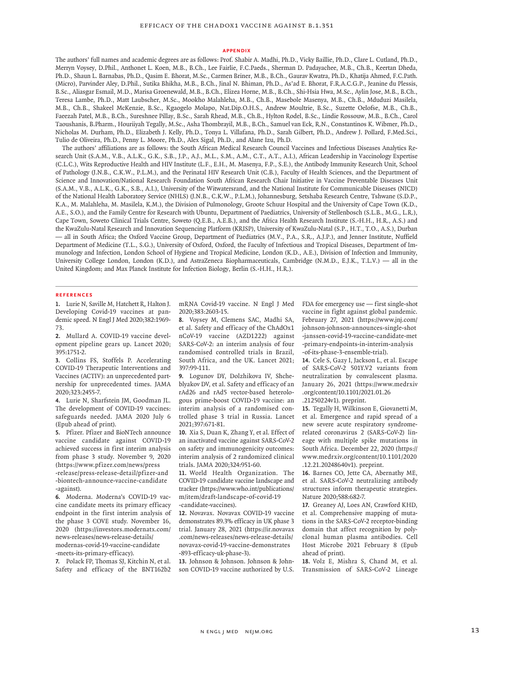#### **Appendix**

The authors' full names and academic degrees are as follows: Prof. Shabir A. Madhi, Ph.D., Vicky Baillie, Ph.D., Clare L. Cutland, Ph.D., Merryn Voysey, D.Phil., Anthonet L. Koen, M.B., B.Ch., Lee Fairlie, F.C.Paeds., Sherman D. Padayachee, M.B., Ch.B., Keertan Dheda, Ph.D., Shaun L. Barnabas, Ph.D., Qasim E. Bhorat, M.Sc., Carmen Briner, M.B., B.Ch., Gaurav Kwatra, Ph.D., Khatija Ahmed, F.C.Path. (Micro), Parvinder Aley, D.Phil., Sutika Bhikha, M.B., B.Ch., Jinal N. Bhiman, Ph.D., As'ad E. Bhorat, F.R.A.C.G.P., Jeanine du Plessis, B.Sc., Aliasgar Esmail, M.D., Marisa Groenewald, M.B., B.Ch., Elizea Horne, M.B., B.Ch., Shi-Hsia Hwa, M.Sc., Aylin Jose, M.B., B.Ch., Teresa Lambe, Ph.D., Matt Laubscher, M.Sc., Mookho Malahleha, M.B., Ch.B., Masebole Masenya, M.B., Ch.B., Mduduzi Masilela, M.B., Ch.B., Shakeel McKenzie, B.Sc., Kgaogelo Molapo, Nat.Dip.O.H.S., Andrew Moultrie, B.Sc., Suzette Oelofse, M.B., Ch.B., Faeezah Patel, M.B., B.Ch., Sureshnee Pillay, B.Sc., Sarah Rhead, M.B., Ch.B., Hylton Rodel, B.Sc., Lindie Rossouw, M.B., B.Ch., Carol Taoushanis, B.Pharm., Houriiyah Tegally, M.Sc., Asha Thombrayil, M.B., B.Ch., Samuel van Eck, R.N., Constantinos K. Wibmer, Ph.D., Nicholas M. Durham, Ph.D., Elizabeth J. Kelly, Ph.D., Tonya L. Villafana, Ph.D., Sarah Gilbert, Ph.D., Andrew J. Pollard, F.Med.Sci., Tulio de Oliveira, Ph.D., Penny L. Moore, Ph.D., Alex Sigal, Ph.D., and Alane Izu, Ph.D.

The authors' affiliations are as follows: the South African Medical Research Council Vaccines and Infectious Diseases Analytics Research Unit (S.A.M., V.B., A.L.K., G.K., S.B., J.P., A.J., M.L., S.M., A.M., C.T., A.T., A.I.), African Leadership in Vaccinology Expertise (C.L.C.), Wits Reproductive Health and HIV Institute (L.F., E.H., M. Masenya, F.P., S.E.), the Antibody Immunity Research Unit, School of Pathology (J.N.B., C.K.W., P.L.M.), and the Perinatal HIV Research Unit (C.B.), Faculty of Health Sciences, and the Department of Science and Innovation/National Research Foundation South African Research Chair Initiative in Vaccine Preventable Diseases Unit (S.A.M., V.B., A.L.K., G.K., S.B., A.I.), University of the Witwatersrand, and the National Institute for Communicable Diseases (NICD) of the National Health Laboratory Service (NHLS) (J.N.B., C.K.W., P.L.M.), Johannesburg, Setshaba Research Centre, Tshwane (S.D.P., K.A., M. Malahleha, M. Masilela, K.M.), the Division of Pulmonology, Groote Schuur Hospital and the University of Cape Town (K.D., A.E., S.O.), and the Family Centre for Research with Ubuntu, Department of Paediatrics, University of Stellenbosch (S.L.B., M.G., L.R.), Cape Town, Soweto Clinical Trials Centre, Soweto (Q.E.B., A.E.B.), and the Africa Health Research Institute (S.-H.H., H.R., A.S.) and the KwaZulu-Natal Research and Innovation Sequencing Platform (KRISP), University of KwaZulu-Natal (S.P., H.T., T.O., A.S.), Durban — all in South Africa; the Oxford Vaccine Group, Department of Paediatrics (M.V., P.A., S.R., A.J.P.), and Jenner Institute, Nuffield Department of Medicine (T.L., S.G.), University of Oxford, Oxford, the Faculty of Infectious and Tropical Diseases, Department of Immunology and Infection, London School of Hygiene and Tropical Medicine, London (K.D., A.E.), Division of Infection and Immunity, University College London, London (K.D.), and AstraZeneca Biopharmaceuticals, Cambridge (N.M.D., E.J.K., T.L.V.) — all in the United Kingdom; and Max Planck Institute for Infection Biology, Berlin (S.-H.H., H.R.).

#### **References**

**1.** Lurie N, Saville M, Hatchett R, Halton J. Developing Covid-19 vaccines at pandemic speed. N Engl J Med 2020;382:1969- 73.

**2.** Mullard A. COVID-19 vaccine development pipeline gears up. Lancet 2020; 395:1751-2.

**3.** Collins FS, Stoffels P. Accelerating COVID-19 Therapeutic Interventions and Vaccines (ACTIV): an unprecedented partnership for unprecedented times. JAMA 2020;323:2455-7.

**4.** Lurie N, Sharfstein JM, Goodman JL. The development of COVID-19 vaccines: safeguards needed. JAMA 2020 July 6 (Epub ahead of print).

**5.** Pfizer. Pfizer and BioNTech announce vaccine candidate against COVID-19 achieved success in first interim analysis from phase 3 study. November 9, 2020 (https://www.pfizer.com/news/press -release/press-release-detail/pfizer-and -biontech-announce-vaccine-candidate -against).

**6.** Moderna. Moderna's COVID-19 vaccine candidate meets its primary efficacy endpoint in the first interim analysis of the phase 3 COVE study. November 16, 2020 (https://investors.modernatx.com/ news-releases/news-release-details/ modernas-covid-19-vaccine-candidate -meets-its-primary-efficacy).

**7.** Polack FP, Thomas SJ, Kitchin N, et al. Safety and efficacy of the BNT162b2 mRNA Covid-19 vaccine. N Engl J Med 2020;383:2603-15.

**8.** Voysey M, Clemens SAC, Madhi SA, et al. Safety and efficacy of the ChAdOx1 nCoV-19 vaccine (AZD1222) against SARS-CoV-2: an interim analysis of four randomised controlled trials in Brazil, South Africa, and the UK. Lancet 2021; 397:99-111.

**9.** Logunov DY, Dolzhikova IV, Shcheblyakov DV, et al. Safety and efficacy of an rAd26 and rAd5 vector-based heterologous prime-boost COVID-19 vaccine: an interim analysis of a randomised controlled phase 3 trial in Russia. Lancet 2021;397:671-81.

**10.** Xia S, Duan K, Zhang Y, et al. Effect of an inactivated vaccine against SARS-CoV-2 on safety and immunogenicity outcomes: interim analysis of 2 randomized clinical trials. JAMA 2020;324:951-60.

**11.** World Health Organization. The COVID-19 candidate vaccine landscape and tracker (https://www.who.int/publications/ m/item/draft-landscape-of-covid-19 -candidate-vaccines).

**12.** Novavax. Novavax COVID-19 vaccine demonstrates 89.3% efficacy in UK phase 3 trial. January 28, 2021 (https://ir.novavax .com/news-releases/news-release-details/ novavax-covid-19-vaccine-demonstrates -893-efficacy-uk-phase-3).

**13.** Johnson & Johnson. Johnson & Johnson COVID-19 vaccine authorized by U.S.

FDA for emergency use — first single-shot vaccine in fight against global pandemic. February 27, 2021 (https://www.jnj.com/ johnson-johnson-announces-single-shot -janssen-covid-19-vaccine-candidate-met -primary-endpoints-in-interim-analysis -of-its-phase-3-ensemble-trial).

**14.** Cele S, Gazy I, Jackson L, et al. Escape of SARS-CoV-2 501Y.V2 variants from neutralization by convalescent plasma. January 26, 2021 (https://www.medrxiv .org/content/10.1101/2021.01.26

.21250224v1). preprint.

**15.** Tegally H, Wilkinson E, Giovanetti M, et al. Emergence and rapid spread of a new severe acute respiratory syndromerelated coronavirus 2 (SARS-CoV-2) lineage with multiple spike mutations in South Africa. December 22, 2020 (https:// www.medrxiv.org/content/10.1101/2020 .12.21.20248640v1). preprint.

**16.** Barnes CO, Jette CA, Abernathy ME, et al. SARS-CoV-2 neutralizing antibody structures inform therapeutic strategies. Nature 2020;588:682-7.

**17.** Greaney AJ, Loes AN, Crawford KHD, et al. Comprehensive mapping of mutations in the SARS-CoV-2 receptor-binding domain that affect recognition by polyclonal human plasma antibodies. Cell Host Microbe 2021 February 8 (Epub ahead of print).

**18.** Volz E, Mishra S, Chand M, et al. Transmission of SARS-CoV-2 Lineage